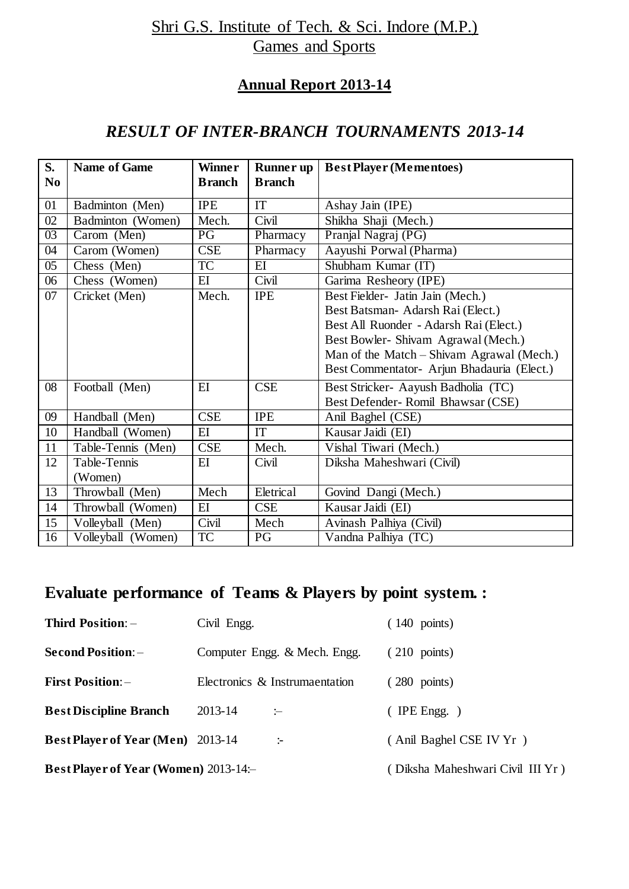## Shri G.S. Institute of Tech. & Sci. Indore (M.P.) Games and Sports

### **Annual Report 2013-14**

### *RESULT OF INTER-BRANCH TOURNAMENTS 2013-14*

| S.<br>N <sub>0</sub> | <b>Name of Game</b> | Winner<br><b>Branch</b> | <b>Runner up</b><br><b>Branch</b> | <b>Best Player (Mementoes)</b>             |
|----------------------|---------------------|-------------------------|-----------------------------------|--------------------------------------------|
| 01                   | Badminton (Men)     | <b>IPE</b>              | <b>IT</b>                         | Ashay Jain (IPE)                           |
| 02                   | Badminton (Women)   | Mech.                   | Civil                             | Shikha Shaji (Mech.)                       |
| 03                   | Carom (Men)         | PG                      | Pharmacy                          | Pranjal Nagraj (PG)                        |
| 04                   | Carom (Women)       | CSE                     |                                   | Aayushi Porwal (Pharma)                    |
|                      |                     | TC                      | Pharmacy                          |                                            |
| 0 <sub>5</sub>       | Chess (Men)         |                         | E                                 | Shubham Kumar (IT)                         |
| 06                   | Chess (Women)       | EI                      | Civil                             | Garima Resheory (IPE)                      |
| 07                   | Cricket (Men)       | Mech.                   | <b>IPE</b>                        | Best Fielder- Jatin Jain (Mech.)           |
|                      |                     |                         |                                   | Best Batsman-Adarsh Rai (Elect.)           |
|                      |                     |                         |                                   | Best All Ruonder - Adarsh Rai (Elect.)     |
|                      |                     |                         |                                   | Best Bowler-Shivam Agrawal (Mech.)         |
|                      |                     |                         |                                   | Man of the Match – Shivam Agrawal (Mech.)  |
|                      |                     |                         |                                   | Best Commentator- Arjun Bhadauria (Elect.) |
| 08                   | Football (Men)      | EI                      | <b>CSE</b>                        | Best Stricker- Aayush Badholia (TC)        |
|                      |                     |                         |                                   | Best Defender-Romil Bhawsar (CSE)          |
| 09                   | Handball (Men)      | CSE                     | <b>IPE</b>                        | Anil Baghel (CSE)                          |
| 10                   | Handball (Women)    | EI                      | IT                                | Kausar Jaidi (EI)                          |
| 11                   | Table-Tennis (Men)  | <b>CSE</b>              | Mech.                             | Vishal Tiwari (Mech.)                      |
| 12                   | Table-Tennis        | EI                      | Civil                             | Diksha Maheshwari (Civil)                  |
|                      | (Women)             |                         |                                   |                                            |
| 13                   | Throwball (Men)     | Mech                    | Eletrical                         | Govind Dangi (Mech.)                       |
| 14                   | Throwball (Women)   | $E$ I                   | <b>CSE</b>                        | Kausar Jaidi (EI)                          |
| 15                   | Volleyball (Men)    | Civil                   | Mech                              | Avinash Palhiya (Civil)                    |
| 16                   | Volleyball (Women)  | <b>TC</b>               | PG                                | Vandna Palhiya (TC)                        |

## **Evaluate performance of Teams & Players by point system. :**

| <b>Third Position: -</b>                     | Civil Engg.                      | $(140 \text{ points})$  |
|----------------------------------------------|----------------------------------|-------------------------|
| <b>Second Position:</b> -                    | Computer Engg. & Mech. Engg.     | $(210 \text{ points})$  |
| <b>First Position: -</b>                     | Electronics & Instrumaentation   | 280 points)             |
| <b>Best Discipline Branch</b>                | 2013-14<br>$\mathrel{\mathop:}=$ | IPE Engg. $)$           |
| <b>Best Player of Year (Men)</b> 2013-14     | ÷                                | (Anil Baghel CSE IV Yr) |
| <b>Best Player of Year (Women)</b> 2013-14:- | (Diksha Maheshwari Civil III Yr) |                         |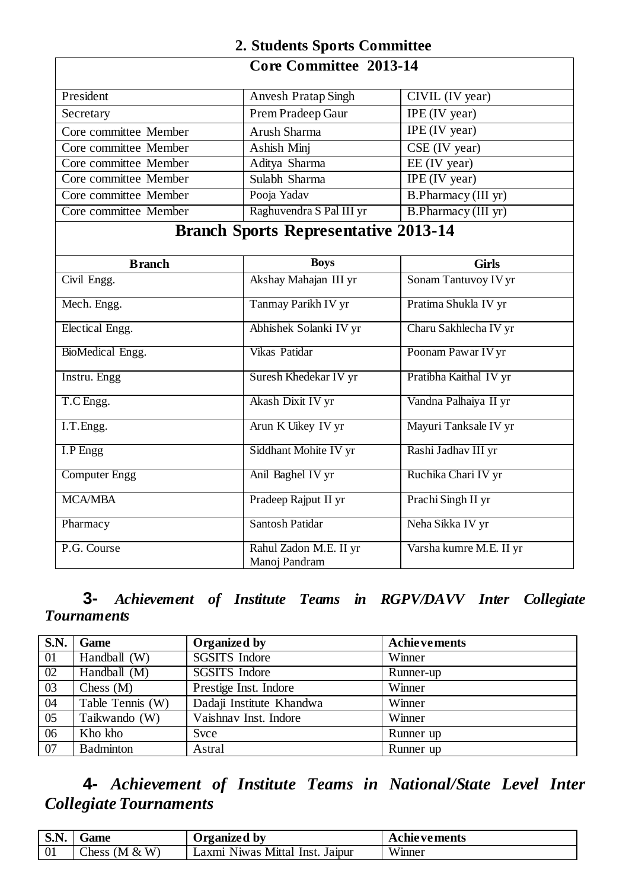# **2. Students Sports Committee**

### **Core Committee 2013-14**

| President             | <b>Anvesh Pratap Singh</b>                  | CIVIL (IV year)         |
|-----------------------|---------------------------------------------|-------------------------|
| Secretary             | Prem Pradeep Gaur                           | IPE (IV year)           |
| Core committee Member | Arush Sharma                                | $IPE$ (IV year)         |
| Core committee Member | Ashish Minj                                 | CSE (IV year)           |
| Core committee Member | Aditya Sharma                               | EE (IV year)            |
| Core committee Member | Sulabh Sharma                               | IPE (IV year)           |
| Core committee Member | Pooja Yadav                                 | B.Pharmacy (III yr)     |
| Core committee Member | Raghuvendra S Pal III yr                    | B.Pharmacy (III yr)     |
|                       | <b>Branch Sports Representative 2013-14</b> |                         |
|                       |                                             |                         |
| <b>Branch</b>         | <b>Boys</b>                                 | <b>Girls</b>            |
| Civil Engg.           | Akshay Mahajan III yr                       | Sonam Tantuvoy IV yr    |
| Mech. Engg.           | Tanmay Parikh IV yr                         | Pratima Shukla IV yr    |
| Electical Engg.       | Abhishek Solanki IV yr                      | Charu Sakhlecha IV yr   |
| BioMedical Engg.      | Vikas Patidar                               | Poonam Pawar IV yr      |
| Instru. Engg          | Suresh Khedekar IV yr                       | Pratibha Kaithal IV yr  |
| T.C Engg.             | Akash Dixit IV yr                           | Vandna Palhaiya II yr   |
| I.T.Engg.             | Arun K Uikey IV yr                          | Mayuri Tanksale IV yr   |
| I.P Engg              | Siddhant Mohite IV yr                       | Rashi Jadhav III yr     |
| <b>Computer Engg</b>  | Anil Baghel IV yr                           | Ruchika Chari IV yr     |
| <b>MCA/MBA</b>        | Pradeep Rajput II yr                        | Prachi Singh II yr      |
| Pharmacy              | Santosh Patidar                             | Neha Sikka IV yr        |
| P.G. Course           | Rahul Zadon M.E. II yr<br>Manoj Pandram     | Varsha kumre M.E. II yr |

#### **3-** *Achievement of Institute Teams in RGPV/DAVV Inter Collegiate Tournaments*

| <b>S.N.</b>     | Game             | Organized by             | <b>Achievements</b> |
|-----------------|------------------|--------------------------|---------------------|
| $\overline{01}$ | Handball (W)     | <b>SGSITS</b> Indore     | Winner              |
| $\overline{02}$ | Handball (M)     | <b>SGSITS</b> Indore     | Runner-up           |
| 03              | Chess $(M)$      | Prestige Inst. Indore    | Winner              |
| 04              | Table Tennis (W) | Dadaji Institute Khandwa | Winner              |
| 05              | Taikwando (W)    | Vaishnav Inst. Indore    | Winner              |
| 06              | Kho kho          | Svce                     | Runner up           |
| 07              | <b>Badminton</b> | Astral                   | Runner up           |

# **4-** *Achievement of Institute Teams in National/State Level Inter Collegiate Tournaments*

| S.N | Game              | Jrganized by                            | Achievements  |
|-----|-------------------|-----------------------------------------|---------------|
| vι  | Chess (M $&$<br>W | Mittal<br>Inst. Jaipur<br>.axm<br>Niwas | TTT<br>Winner |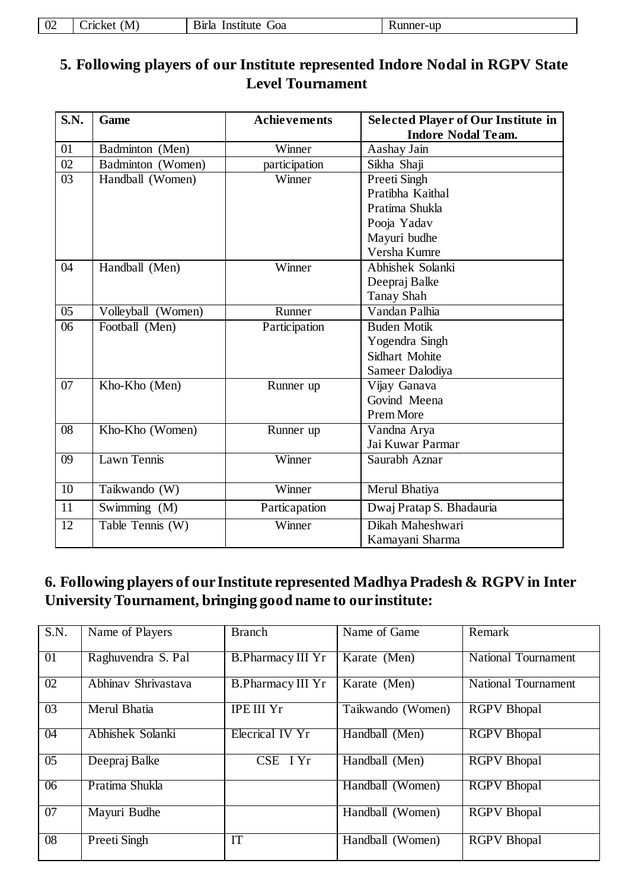| $\sim$<br>$U \sim$ | $\Lambda$ / $\mu$<br>. .ricker<br>. .<br>______ | stītut<br>siria<br>$\sim$<br>ın<br>UUa<br>. .<br>.<br>___<br>$\sim$ $\sim$ | 111<br>. UF<br>առ.<br>็นเ<br>the contract of the contract of the contract of the contract of the contract of |
|--------------------|-------------------------------------------------|----------------------------------------------------------------------------|--------------------------------------------------------------------------------------------------------------|
|--------------------|-------------------------------------------------|----------------------------------------------------------------------------|--------------------------------------------------------------------------------------------------------------|

## **5. Following players of our Institute represented Indore Nodal in RGPV State Level Tournament**

| S.N.            | Game               | <b>Achievements</b> | <b>Selected Player of Our Institute in</b> |
|-----------------|--------------------|---------------------|--------------------------------------------|
|                 |                    |                     | <b>Indore Nodal Team.</b>                  |
| 01              | Badminton (Men)    | Winner              | Aashay Jain                                |
| 02              | Badminton (Women)  | participation       | Sikha Shaji                                |
| 03              | Handball (Women)   | Winner              | Preeti Singh                               |
|                 |                    |                     | Pratibha Kaithal                           |
|                 |                    |                     | Pratima Shukla                             |
|                 |                    |                     | Pooja Yadav                                |
|                 |                    |                     | Mayuri budhe                               |
|                 |                    |                     | Versha Kumre                               |
| 04              | Handball (Men)     | Winner              | Abhishek Solanki                           |
|                 |                    |                     | Deepraj Balke                              |
|                 |                    |                     | Tanay Shah                                 |
| $\overline{05}$ | Volleyball (Women) | Runner              | Vandan Palhia                              |
| 06              | Football (Men)     | Participation       | <b>Buden Motik</b>                         |
|                 |                    |                     | Yogendra Singh                             |
|                 |                    |                     | Sidhart Mohite                             |
|                 |                    |                     | Sameer Dalodiya                            |
| 07              | Kho-Kho (Men)      | Runner up           | Vijay Ganava                               |
|                 |                    |                     | Govind Meena                               |
|                 |                    |                     | Prem More                                  |
| $\overline{08}$ | Kho-Kho (Women)    | Runner up           | Vandna Arya                                |
|                 |                    |                     | Jai Kuwar Parmar                           |
| 09              | Lawn Tennis        | Winner              | Saurabh Aznar                              |
|                 |                    |                     |                                            |
| $\overline{10}$ | Taikwando (W)      | Winner              | Merul Bhatiya                              |
| 11              | Swimming (M)       | Particapation       | Dwaj Pratap S. Bhadauria                   |
| $\overline{12}$ | Table Tennis (W)   | Winner              | Dikah Maheshwari                           |
|                 |                    |                     | Kamayani Sharma                            |

### **6. Following players of our Institute represented Madhya Pradesh & RGPV in Inter University Tournament, bringing good name to our institute:**

| S.N.            | Name of Players     | <b>Branch</b>            | Name of Game      | Remark                     |
|-----------------|---------------------|--------------------------|-------------------|----------------------------|
| 01              | Raghuvendra S. Pal  | <b>B.Pharmacy III Yr</b> | Karate (Men)      | <b>National Tournament</b> |
| 02              | Abhinav Shrivastava | <b>B.Pharmacy III Yr</b> | Karate (Men)      | <b>National Tournament</b> |
| 03              | Merul Bhatia        | <b>IPE III</b> Yr        | Taikwando (Women) | <b>RGPV</b> Bhopal         |
| 04              | Abhishek Solanki    | Elecrical IV Yr          | Handball (Men)    | <b>RGPV Bhopal</b>         |
| $\overline{05}$ | Deepraj Balke       | CSE I Yr                 | Handball (Men)    | <b>RGPV</b> Bhopal         |
| 06              | Pratima Shukla      |                          | Handball (Women)  | <b>RGPV Bhopal</b>         |
| $\overline{07}$ | Mayuri Budhe        |                          | Handball (Women)  | <b>RGPV</b> Bhopal         |
| $\overline{08}$ | Preeti Singh        | IT                       | Handball (Women)  | <b>RGPV</b> Bhopal         |